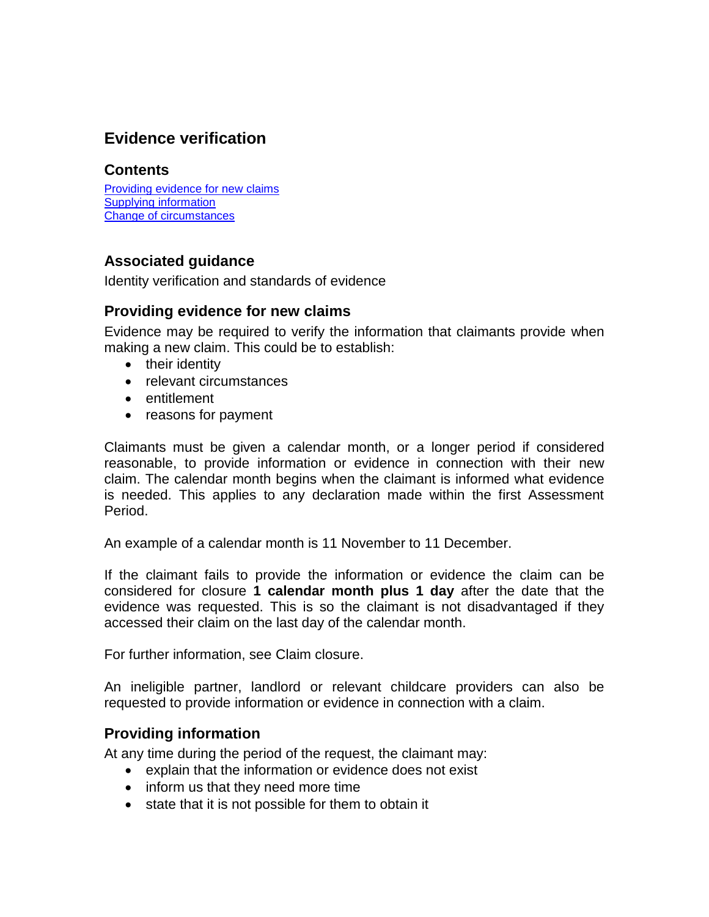# **Evidence verification**

#### **Contents**

Providing [evidence for new claims](#page-0-0) Supplying [information](#page-0-1) [Change of circumstances](#page-1-0)

# <span id="page-0-0"></span>**Associated guidance**

Identity verification and standards of evidence

### **Providing evidence for new claims**

Evidence may be required to verify the information that claimants provide when making a new claim. This could be to establish:

- their identity
- relevant circumstances
- entitlement
- reasons for payment

Claimants must be given a calendar month, or a longer period if considered reasonable, to provide information or evidence in connection with their new claim. The calendar month begins when the claimant is informed what evidence is needed. This applies to any declaration made within the first Assessment Period.

An example of a calendar month is 11 November to 11 December.

If the claimant fails to provide the information or evidence the claim can be considered for closure **1 calendar month plus 1 day** after the date that the evidence was requested. This is so the claimant is not disadvantaged if they accessed their claim on the last day of the calendar month.

For further information, see Claim closure.

An ineligible partner, landlord or relevant childcare providers can also be requested to provide information or evidence in connection with a claim.

## <span id="page-0-1"></span>**Providing information**

At any time during the period of the request, the claimant may:

- explain that the information or evidence does not exist
- inform us that they need more time
- state that it is not possible for them to obtain it